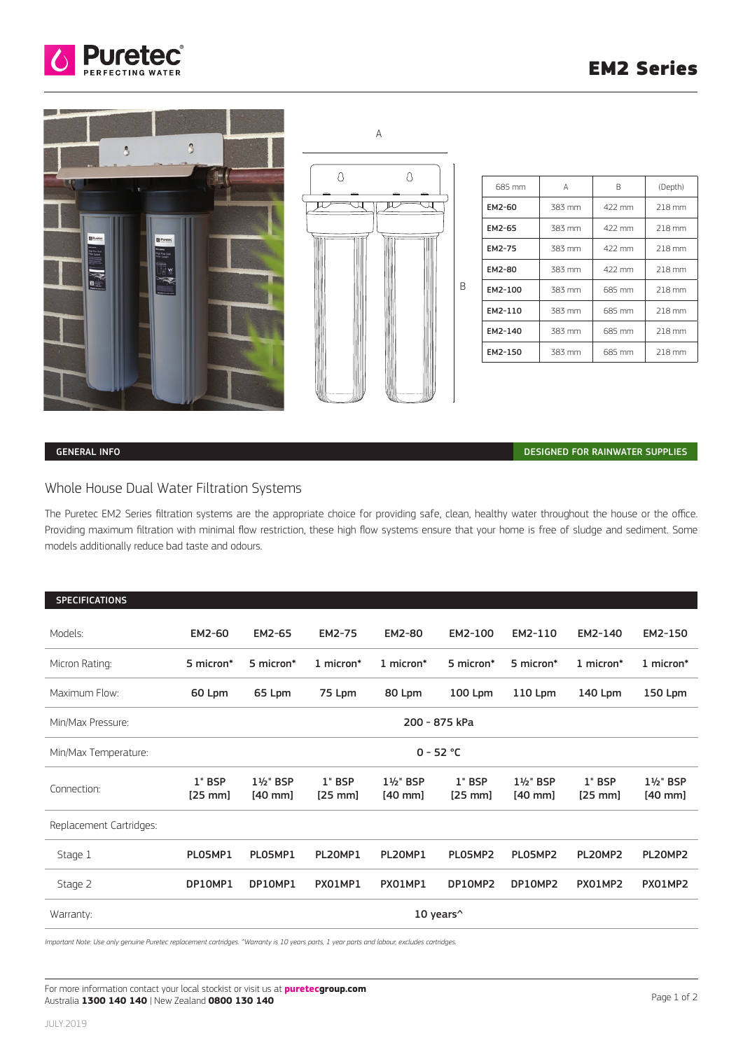





| 685 mm  | А      | R      | (Depth) |  |  |
|---------|--------|--------|---------|--|--|
| EM2-60  | 383 mm | 422 mm | 218 mm  |  |  |
| EM2-65  | 383 mm | 422 mm | 218 mm  |  |  |
| EM2-75  | 383 mm | 422 mm | 218 mm  |  |  |
| EM2-80  | 383 mm | 422 mm | 218 mm  |  |  |
| EM2-100 | 383 mm | 685 mm | 218 mm  |  |  |
| EM2-110 | 383 mm | 685 mm | 218 mm  |  |  |
| EM2-140 | 383 mm | 685 mm | 218 mm  |  |  |
| EM2-150 | 383 mm | 685 mm | 218 mm  |  |  |

# GENERAL INFO DESIGNED FOR RAINWATER SUPPLIES

# Whole House Dual Water Filtration Systems

The Puretec EM2 Series filtration systems are the appropriate choice for providing safe, clean, healthy water throughout the house or the office. Providing maximum filtration with minimal flow restriction, these high flow systems ensure that your home is free of sludge and sediment. Some models additionally reduce bad taste and odours.

| <b>SPECIFICATIONS</b>   |                       |                      |                     |                                 |                     |                      |                     |                      |  |
|-------------------------|-----------------------|----------------------|---------------------|---------------------------------|---------------------|----------------------|---------------------|----------------------|--|
| Models:                 | EM2-60                | EM2-65               | <b>EM2-75</b>       | EM2-80                          | EM2-100             | EM2-110              | EM2-140             | EM2-150              |  |
| Micron Rating:          | 5 micron*             | 5 micron*            | 1 micron*           | 1 micron*                       | 5 micron*           | 5 micron*            | 1 micron*           | 1 micron*            |  |
| Maximum Flow:           | 60 Lpm                | 65 Lpm               | 75 Lpm              | 80 Lpm                          | 100 Lpm             | 110 Lpm              | 140 Lpm             | 150 Lpm              |  |
| Min/Max Pressure:       | 200 - 875 kPa         |                      |                     |                                 |                     |                      |                     |                      |  |
| Min/Max Temperature:    | $0 - 52 °C$           |                      |                     |                                 |                     |                      |                     |                      |  |
| Connection:             | 1" BSP<br>$[25$ mm]   | 1½" BSP<br>$[40$ mm] | 1" BSP<br>$[25$ mm] | $1\frac{1}{2}$ BSP<br>$[40$ mm] | 1" BSP<br>$[25$ mm] | 1½" BSP<br>$[40$ mm] | 1" BSP<br>$[25$ mm] | 1½" BSP<br>$[40$ mm] |  |
| Replacement Cartridges: |                       |                      |                     |                                 |                     |                      |                     |                      |  |
| Stage 1                 | PLO5MP1               | PLO5MP1              | PL20MP1             | PL20MP1                         | PLO5MP2             | PLO5MP2              | PL20MP2             | PL20MP2              |  |
| Stage 2                 | DP10MP1               | DP10MP1              | PX01MP1             | PX01MP1                         | DP10MP2             | DP10MP2              | PX01MP2             | PX01MP2              |  |
| Warranty:               | 10 years <sup>^</sup> |                      |                     |                                 |                     |                      |                     |                      |  |

*Important Note: Use only genuine Puretec replacement cartridges. ^Warranty is 10 years parts, 1 year parts and labour, excludes cartridges.*